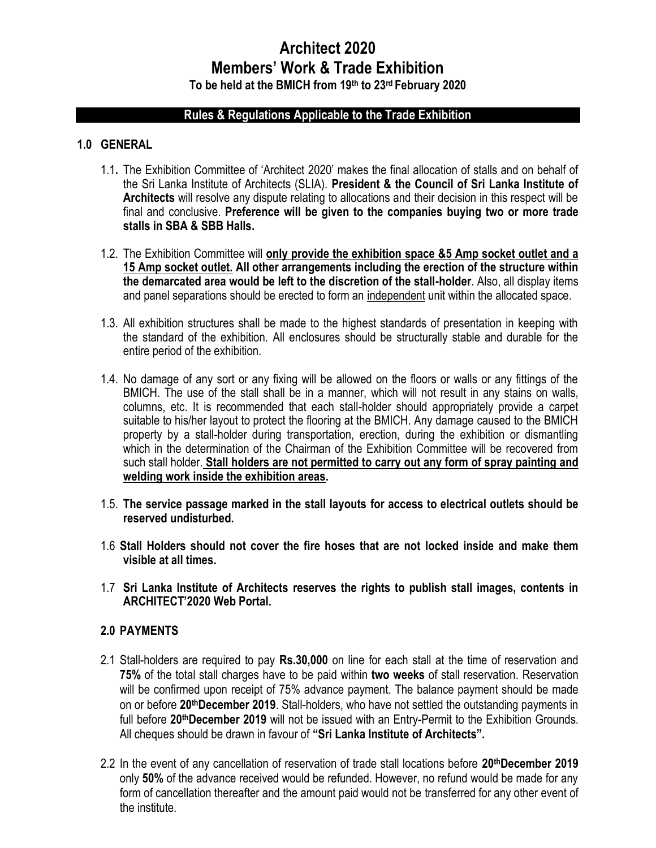**To be held at the BMICH from 19th to 23 rd February 2020**

### **Rules & Regulations Applicable to the Trade Exhibition**

### **1.0 GENERAL**

- 1.1**.** The Exhibition Committee of 'Architect 2020' makes the final allocation of stalls and on behalf of the Sri Lanka Institute of Architects (SLIA). **President & the Council of Sri Lanka Institute of Architects** will resolve any dispute relating to allocations and their decision in this respect will be final and conclusive. **Preference will be given to the companies buying two or more trade stalls in SBA & SBB Halls.**
- 1.2. The Exhibition Committee will **only provide the exhibition space &5 Amp socket outlet and a 15 Amp socket outlet. All other arrangements including the erection of the structure within the demarcated area would be left to the discretion of the stall-holder**. Also, all display items and panel separations should be erected to form an independent unit within the allocated space.
- 1.3. All exhibition structures shall be made to the highest standards of presentation in keeping with the standard of the exhibition. All enclosures should be structurally stable and durable for the entire period of the exhibition.
- 1.4. No damage of any sort or any fixing will be allowed on the floors or walls or any fittings of the BMICH. The use of the stall shall be in a manner, which will not result in any stains on walls, columns, etc. It is recommended that each stall-holder should appropriately provide a carpet suitable to his/her layout to protect the flooring at the BMICH. Any damage caused to the BMICH property by a stall-holder during transportation, erection, during the exhibition or dismantling which in the determination of the Chairman of the Exhibition Committee will be recovered from such stall holder. **Stall holders are not permitted to carry out any form of spray painting and welding work inside the exhibition areas.**
- 1.5. **The service passage marked in the stall layouts for access to electrical outlets should be reserved undisturbed.**
- 1.6 **Stall Holders should not cover the fire hoses that are not locked inside and make them visible at all times.**
- 1.7 **Sri Lanka Institute of Architects reserves the rights to publish stall images, contents in ARCHITECT'2020 Web Portal.**

### **2.0 PAYMENTS**

- 2.1 Stall-holders are required to pay **Rs.30,000** on line for each stall at the time of reservation and **75%** of the total stall charges have to be paid within **two weeks** of stall reservation. Reservation will be confirmed upon receipt of 75% advance payment. The balance payment should be made on or before **20thDecember 2019**. Stall-holders, who have not settled the outstanding payments in full before **20thDecember 2019** will not be issued with an Entry-Permit to the Exhibition Grounds. All cheques should be drawn in favour of **"Sri Lanka Institute of Architects".**
- 2.2 In the event of any cancellation of reservation of trade stall locations before **20thDecember 2019** only **50%** of the advance received would be refunded. However, no refund would be made for any form of cancellation thereafter and the amount paid would not be transferred for any other event of the institute.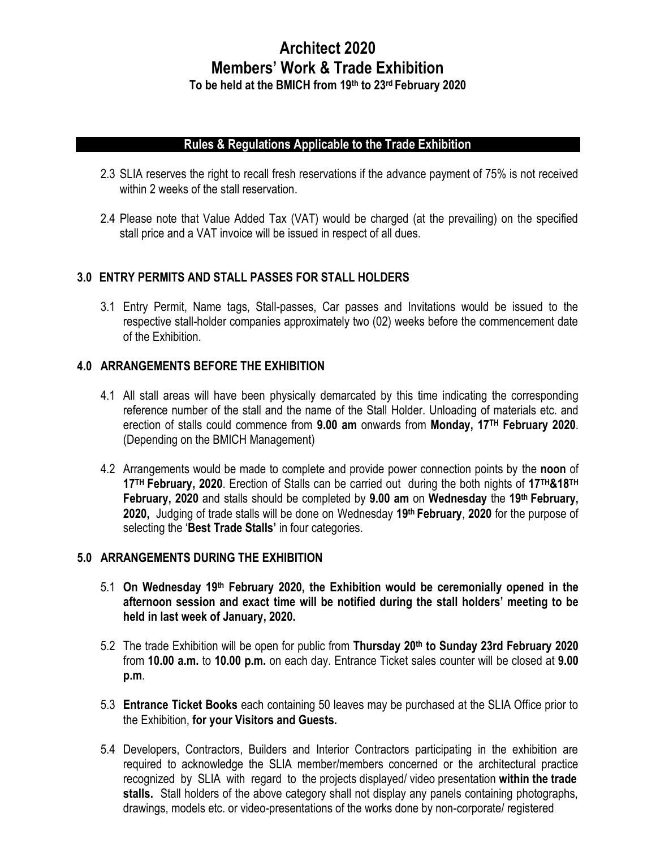**To be held at the BMICH from 19th to 23 rd February 2020**

### **Rules & Regulations Applicable to the Trade Exhibition**

- 2.3 SLIA reserves the right to recall fresh reservations if the advance payment of 75% is not received within 2 weeks of the stall reservation.
- 2.4 Please note that Value Added Tax (VAT) would be charged (at the prevailing) on the specified stall price and a VAT invoice will be issued in respect of all dues.

### **3.0 ENTRY PERMITS AND STALL PASSES FOR STALL HOLDERS**

3.1 Entry Permit, Name tags, Stall-passes, Car passes and Invitations would be issued to the respective stall-holder companies approximately two (02) weeks before the commencement date of the Exhibition.

### **4.0 ARRANGEMENTS BEFORE THE EXHIBITION**

- 4.1 All stall areas will have been physically demarcated by this time indicating the corresponding reference number of the stall and the name of the Stall Holder. Unloading of materials etc. and erection of stalls could commence from **9.00 am** onwards from **Monday, 17 TH February 2020**. (Depending on the BMICH Management)
- 4.2 Arrangements would be made to complete and provide power connection points by the **noon** of **17<sup>TH</sup> February, 2020**. Erection of Stalls can be carried out during the both nights of 17<sup>TH</sup>&18<sup>TH</sup> **February, 2020** and stalls should be completed by **9.00 am** on **Wednesday** the **19th February, 2020,** Judging of trade stalls will be done on Wednesday **19th February**, **2020** for the purpose of selecting the '**Best Trade Stalls'** in four categories.

### **5.0 ARRANGEMENTS DURING THE EXHIBITION**

- 5.1 **On Wednesday 19th February 2020, the Exhibition would be ceremonially opened in the afternoon session and exact time will be notified during the stall holders' meeting to be held in last week of January, 2020.**
- 5.2 The trade Exhibition will be open for public from **Thursday 20 th to Sunday 23rd February 2020** from **10.00 a.m.** to **10.00 p.m.** on each day. Entrance Ticket sales counter will be closed at **9.00 p.m**.
- 5.3 **Entrance Ticket Books** each containing 50 leaves may be purchased at the SLIA Office prior to the Exhibition, **for your Visitors and Guests.**
- 5.4 Developers, Contractors, Builders and Interior Contractors participating in the exhibition are required to acknowledge the SLIA member/members concerned or the architectural practice recognized by SLIA with regard to the projects displayed/ video presentation **within the trade stalls.** Stall holders of the above category shall not display any panels containing photographs, drawings, models etc. or video-presentations of the works done by non-corporate/ registered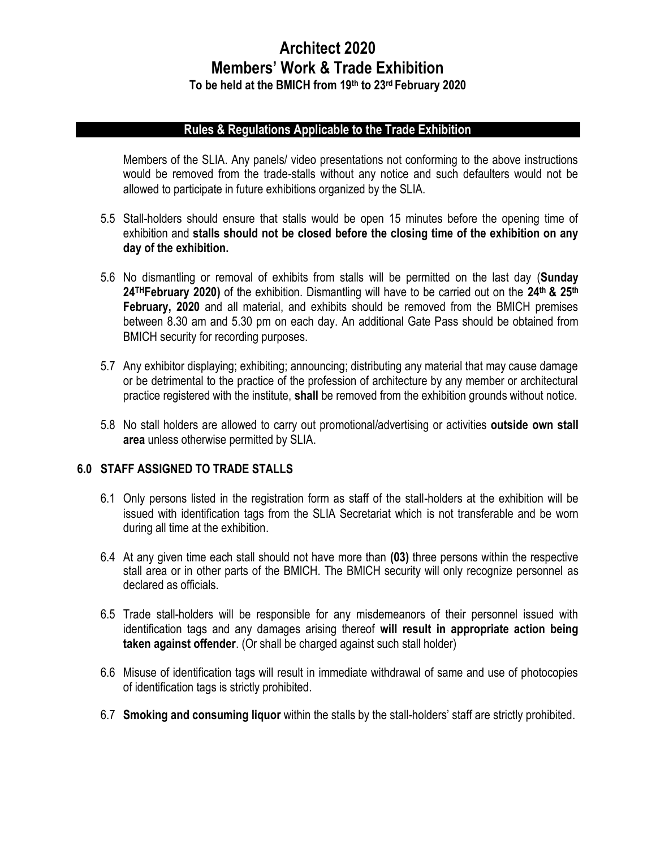**To be held at the BMICH from 19th to 23 rd February 2020**

### **Rules & Regulations Applicable to the Trade Exhibition**

Members of the SLIA. Any panels/ video presentations not conforming to the above instructions would be removed from the trade-stalls without any notice and such defaulters would not be allowed to participate in future exhibitions organized by the SLIA.

- 5.5 Stall-holders should ensure that stalls would be open 15 minutes before the opening time of exhibition and **stalls should not be closed before the closing time of the exhibition on any day of the exhibition.**
- 5.6 No dismantling or removal of exhibits from stalls will be permitted on the last day (**Sunday 24 THFebruary 2020)** of the exhibition. Dismantling will have to be carried out on the **24 th & 25 th February, 2020** and all material, and exhibits should be removed from the BMICH premises between 8.30 am and 5.30 pm on each day. An additional Gate Pass should be obtained from BMICH security for recording purposes.
- 5.7 Any exhibitor displaying; exhibiting; announcing; distributing any material that may cause damage or be detrimental to the practice of the profession of architecture by any member or architectural practice registered with the institute, **shall** be removed from the exhibition grounds without notice.
- 5.8 No stall holders are allowed to carry out promotional/advertising or activities **outside own stall area** unless otherwise permitted by SLIA.

### **6.0 STAFF ASSIGNED TO TRADE STALLS**

- 6.1 Only persons listed in the registration form as staff of the stall-holders at the exhibition will be issued with identification tags from the SLIA Secretariat which is not transferable and be worn during all time at the exhibition.
- 6.4 At any given time each stall should not have more than **(03)** three persons within the respective stall area or in other parts of the BMICH. The BMICH security will only recognize personnel as declared as officials.
- 6.5 Trade stall-holders will be responsible for any misdemeanors of their personnel issued with identification tags and any damages arising thereof **will result in appropriate action being taken against offender**. (Or shall be charged against such stall holder)
- 6.6 Misuse of identification tags will result in immediate withdrawal of same and use of photocopies of identification tags is strictly prohibited.
- 6.7 **Smoking and consuming liquor** within the stalls by the stall-holders' staff are strictly prohibited.